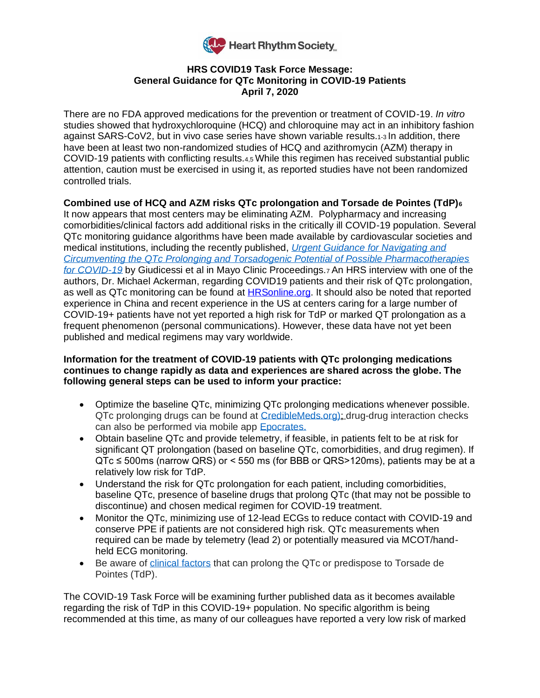

## **HRS COVID19 Task Force Message: General Guidance for QTc Monitoring in COVID-19 Patients April 7, 2020**

There are no FDA approved medications for the prevention or treatment of COVID-19. *In vitro*  studies showed that hydroxychloroquine (HCQ) and chloroquine may act in an inhibitory fashion against SARS-CoV2, but in vivo case series have shown variable results.1-3 In addition, there have been at least two non-randomized studies of HCQ and azithromycin (AZM) therapy in COVID-19 patients with conflicting results.4,5 While this regimen has received substantial public attention, caution must be exercised in using it, as reported studies have not been randomized controlled trials.

## **Combined use of HCQ and AZM risks QTc prolongation and Torsade de Pointes (TdP)<sup>6</sup>**

It now appears that most centers may be eliminating AZM. Polypharmacy and increasing comorbidities/clinical factors add additional risks in the critically ill COVID-19 population. Several QTc monitoring guidance algorithms have been made available by cardiovascular societies and medical institutions, including the recently published, *[Urgent Guidance for Navigating and](https://mayoclinicproceedings.org/pb/assets/raw/Health%20Advance/journals/jmcp/jmcp_covid19.pdf)  [Circumventing the QTc Prolonging and Torsadogenic Potential of Possible Pharmacotherapies](https://mayoclinicproceedings.org/pb/assets/raw/Health%20Advance/journals/jmcp/jmcp_covid19.pdf)  [for COVID-19](https://mayoclinicproceedings.org/pb/assets/raw/Health%20Advance/journals/jmcp/jmcp_covid19.pdf)* by Giudicessi et al in Mayo Clinic Proceedings.7 An HRS interview with one of the authors, Dr. Michael Ackerman, regarding COVID19 patients and their risk of QTc prolongation, as well as QTc monitoring can be found at [HRSonline.org.](https://vimeo.com/404736329) It should also be noted that reported experience in China and recent experience in the US at centers caring for a large number of COVID-19+ patients have not yet reported a high risk for TdP or marked QT prolongation as a frequent phenomenon (personal communications). However, these data have not yet been published and medical regimens may vary worldwide.

## **Information for the treatment of COVID-19 patients with QTc prolonging medications continues to change rapidly as data and experiences are shared across the globe. The following general steps can be used to inform your practice:**

- Optimize the baseline QTc, minimizing QTc prolonging medications whenever possible. QTc prolonging drugs can be found at [CredibleMeds.org\)](https://www.crediblemeds.org/healthcare-providers/); drug-drug interaction checks can also be performed via mobile app [Epocrates.](https://www.epocrates.com/)
- Obtain baseline QTc and provide telemetry, if feasible, in patients felt to be at risk for significant QT prolongation (based on baseline QTc, comorbidities, and drug regimen). If QTc ≤ 500ms (narrow QRS) or < 550 ms (for BBB or QRS>120ms), patients may be at a relatively low risk for TdP.
- Understand the risk for QTc prolongation for each patient, including comorbidities, baseline QTc, presence of baseline drugs that prolong QTc (that may not be possible to discontinue) and chosen medical regimen for COVID-19 treatment.
- Monitor the QTc, minimizing use of 12-lead ECGs to reduce contact with COVID-19 and conserve PPE if patients are not considered high risk. QTc measurements when required can be made by telemetry (lead 2) or potentially measured via MCOT/handheld ECG monitoring.
- Be aware of [clinical factors](https://www.crediblemeds.org/ndfa-list/) that can prolong the QTc or predispose to Torsade de Pointes (TdP).

The COVID-19 Task Force will be examining further published data as it becomes available regarding the risk of TdP in this COVID-19+ population. No specific algorithm is being recommended at this time, as many of our colleagues have reported a very low risk of marked